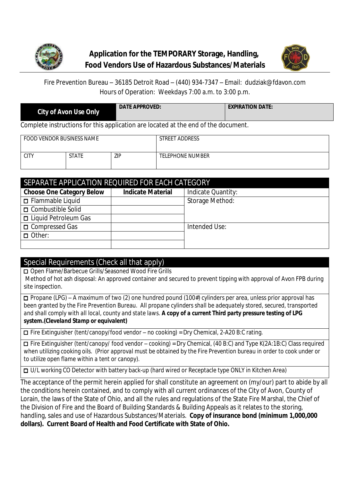



Fire Prevention Bureau – 36185 Detroit Road – (440) 934-7347 – Email: dudziak@fdavon.com Hours of Operation: Weekdays 7:00 a.m. to 3:00 p.m.

| <b>City of Avon Use Only</b>                                                       | DATE APPROVED: | <b>EXPIRATION DATE:</b> |  |  |  |
|------------------------------------------------------------------------------------|----------------|-------------------------|--|--|--|
| Complete instructions for this application are located at the end of the document. |                |                         |  |  |  |

| FOOD VENDOR BUSINESS NAME |              |     | STREET ADDRESS   |  |  |  |  |
|---------------------------|--------------|-----|------------------|--|--|--|--|
| <b>CITY</b>               | <b>STATE</b> | ZIP | TELEPHONE NUMBER |  |  |  |  |

| SEPARATE APPLICATION REQUIRED FOR EACH CATEGORY |                          |                    |  |  |  |
|-------------------------------------------------|--------------------------|--------------------|--|--|--|
| <b>Choose One Category Below</b>                | <b>Indicate Material</b> | Indicate Quantity: |  |  |  |
| $\Box$ Flammable Liquid                         |                          | Storage Method:    |  |  |  |
| □ Combustible Solid                             |                          |                    |  |  |  |
| □ Liquid Petroleum Gas                          |                          |                    |  |  |  |
| □ Compressed Gas                                |                          | Intended Use:      |  |  |  |
| $\Box$ Other:                                   |                          |                    |  |  |  |
|                                                 |                          |                    |  |  |  |

### Special Requirements (Check all that apply)

**□** Open Flame/Barbecue Grills/Seasoned Wood Fire Grills Method of hot ash disposal: An approved container and secured to prevent tipping with approval of Avon FPB during site inspection.

**□** Propane (LPG) – A maximum of two (2) one hundred pound (100#) cylinders per area, unless prior approval has been granted by the Fire Prevention Bureau. *All propane cylinders shall be adequately stored, secured, transported and shall comply with all local, county and state laws. A copy of a current Third party pressure testing of LPG system.(Cleveland Stamp or equivalent)*

**□** Fire Extinguisher (tent/canopy/food vendor – no cooking) = Dry Chemical, 2-A20 B:C rating.

**□** Fire Extinguisher (tent/canopy/ food vendor – cooking) = Dry Chemical, (40 B:C) and Type K(2A:1B:C) Class required when utilizing cooking oils. *(Prior approval must be obtained by the Fire Prevention bureau in order to cook under or to utilize open flame within a tent or canopy).*

**□** U/L working CO Detector with battery back-up (hard wired or Receptacle type ONLY in Kitchen Area)

The acceptance of the permit herein applied for shall constitute an agreement on (my/our) part to abide by all the conditions herein contained, and to comply with all current ordinances of the City of Avon, County of Lorain, the laws of the State of Ohio, and all the rules and regulations of the State Fire Marshal, the Chief of the Division of Fire and the Board of Building Standards & Building Appeals as it relates to the storing, handling, sales and use of Hazardous Substances/Materials. **Copy of insurance bond (minimum 1,000,000 dollars). Current Board of Health and Food Certificate with State of Ohio.**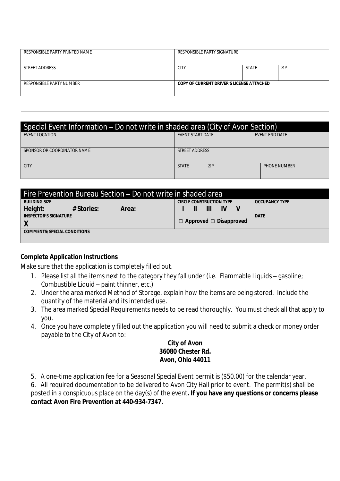| RESPONSIBLE PARTY PRINTED NAME | RESPONSIBLE PARTY SIGNATURE               |              |            |  |
|--------------------------------|-------------------------------------------|--------------|------------|--|
| STREET ADDRESS                 | <b>CITY</b>                               | <b>STATE</b> | <b>ZIP</b> |  |
| RESPONSIBLE PARTY NUMBER       | COPY OF CURRENT DRIVER'S LICENSE ATTACHED |              |            |  |

| Special Event Information – Do not write in shaded area (City of Avon Section) |                         |            |                       |  |  |  |
|--------------------------------------------------------------------------------|-------------------------|------------|-----------------------|--|--|--|
| EVENT LOCATION                                                                 | <b>EVENT START DATE</b> |            | <b>EVENT END DATE</b> |  |  |  |
|                                                                                |                         |            |                       |  |  |  |
| SPONSOR OR COORDINATOR NAME                                                    | STREET ADDRESS          |            |                       |  |  |  |
|                                                                                |                         |            |                       |  |  |  |
| CITY                                                                           | <b>STATE</b>            | <b>ZIP</b> | <b>PHONE NUMBER</b>   |  |  |  |
|                                                                                |                         |            |                       |  |  |  |

| Fire Prevention Bureau Section – Do not write in shaded area |            |       |                                    |  |   |                       |  |
|--------------------------------------------------------------|------------|-------|------------------------------------|--|---|-----------------------|--|
| <b>BUILDING SIZE</b>                                         |            |       | <b>CIRCLE CONSTRUCTION TYPE</b>    |  |   | <b>OCCUPANCY TYPE</b> |  |
| Height:                                                      | # Stories: | Area: |                                    |  | Ш |                       |  |
| <b>INSPECTOR'S SIGNATURE</b>                                 |            |       |                                    |  |   | <b>DATE</b>           |  |
| Χ                                                            |            |       | $\Box$ Approved $\Box$ Disapproved |  |   |                       |  |
| <b>COMMENTS/SPECIAL CONDITIONS</b>                           |            |       |                                    |  |   |                       |  |
|                                                              |            |       |                                    |  |   |                       |  |

#### **Complete Application Instructions**

Make sure that the application is completely filled out.

- 1. Please list all the items next to the category they fall under (i.e. Flammable Liquids gasoline; Combustible Liquid – paint thinner, etc.)
- 2. Under the area marked Method of Storage, explain how the items are being stored. Include the quantity of the material and its intended use.
- 3. The area marked Special Requirements needs to be read thoroughly. You must check all that apply to you.
- 4. Once you have completely filled out the application you will need to submit a check or money order payable to the City of Avon to:

### **City of Avon 36080 Chester Rd. Avon, Ohio 44011**

5. A one-time application fee for a Seasonal Special Event permit is (\$50.00) for the calendar year.

6. All required documentation to be delivered to Avon City Hall prior to event. The permit(s) shall be posted in a conspicuous place on the day(s) of the event**. If you have any questions or concerns please contact Avon Fire Prevention at 440-934-7347.**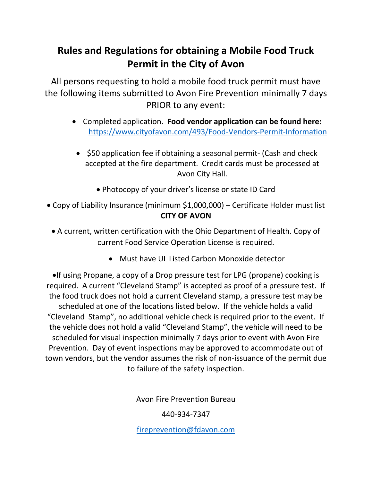# **Rules and Regulations for obtaining a Mobile Food Truck Permit in the City of Avon**

All persons requesting to hold a mobile food truck permit must have the following items submitted to Avon Fire Prevention minimally 7 days PRIOR to any event:

- Completed application. **Food vendor application can be found here:** <https://www.cityofavon.com/493/Food-Vendors-Permit-Information>
	- \$50 application fee if obtaining a seasonal permit- (Cash and check accepted at the fire department. Credit cards must be processed at Avon City Hall.
		- Photocopy of your driver's license or state ID Card
- Copy of Liability Insurance (minimum \$1,000,000) Certificate Holder must list **CITY OF AVON**
	- A current, written certification with the Ohio Department of Health. Copy of current Food Service Operation License is required.
		- Must have UL Listed Carbon Monoxide detector

•If using Propane, a copy of a Drop pressure test for LPG (propane) cooking is required. A current "Cleveland Stamp" is accepted as proof of a pressure test. If the food truck does not hold a current Cleveland stamp, a pressure test may be scheduled at one of the locations listed below. If the vehicle holds a valid "Cleveland Stamp", no additional vehicle check is required prior to the event. If the vehicle does not hold a valid "Cleveland Stamp", the vehicle will need to be scheduled for visual inspection minimally 7 days prior to event with Avon Fire Prevention. Day of event inspections may be approved to accommodate out of town vendors, but the vendor assumes the risk of non-issuance of the permit due to failure of the safety inspection.

Avon Fire Prevention Bureau

440-934-7347

[fireprevention@fdavon.com](mailto:fireprevention@fdavon.com)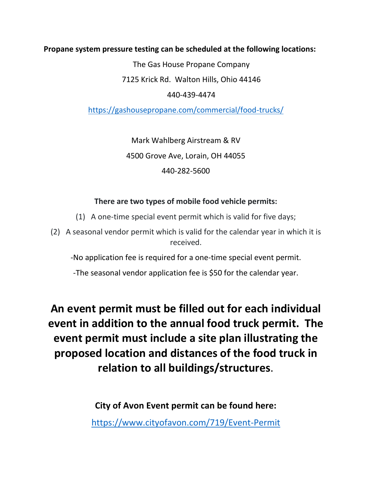**Propane system pressure testing can be scheduled at the following locations:**

The Gas House Propane Company

7125 Krick Rd. Walton Hills, Ohio 44146

440-439-4474

<https://gashousepropane.com/commercial/food-trucks/>

Mark Wahlberg Airstream & RV 4500 Grove Ave, Lorain, OH 44055 440-282-5600

### **There are two types of mobile food vehicle permits:**

- (1) A one-time special event permit which is valid for five days;
- (2) A seasonal vendor permit which is valid for the calendar year in which it is received.

-No application fee is required for a one-time special event permit.

-The seasonal vendor application fee is \$50 for the calendar year.

**An event permit must be filled out for each individual event in addition to the annual food truck permit. The event permit must include a site plan illustrating the proposed location and distances of the food truck in relation to all buildings/structures**.

> **City of Avon Event permit can be found here:** <https://www.cityofavon.com/719/Event-Permit>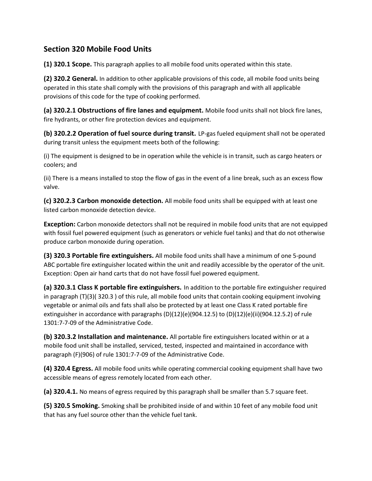### **Section 320 Mobile Food Units**

**(1) 320.1 Scope.** This paragraph applies to all mobile food units operated within this state.

**(2) 320.2 General.** In addition to other applicable provisions of this code, all mobile food units being operated in this state shall comply with the provisions of this paragraph and with all applicable provisions of this code for the type of cooking performed.

**(a) 320.2.1 Obstructions of fire lanes and equipment.** Mobile food units shall not block fire lanes, fire hydrants, or other fire protection devices and equipment.

**(b) 320.2.2 Operation of fuel source during transit.** LP-gas fueled equipment shall not be operated during transit unless the equipment meets both of the following:

(i) The equipment is designed to be in operation while the vehicle is in transit, such as cargo heaters or coolers; and

(ii) There is a means installed to stop the flow of gas in the event of a line break, such as an excess flow valve.

**(c) 320.2.3 Carbon monoxide detection.** All mobile food units shall be equipped with at least one listed carbon monoxide detection device.

**Exception:** Carbon monoxide detectors shall not be required in mobile food units that are not equipped with fossil fuel powered equipment (such as generators or vehicle fuel tanks) and that do not otherwise produce carbon monoxide during operation.

**(3) 320.3 Portable fire extinguishers.** All mobile food units shall have a minimum of one 5-pound ABC portable fire extinguisher located within the unit and readily accessible by the operator of the unit. Exception: Open air hand carts that do not have fossil fuel powered equipment.

**(a) 320.3.1 Class K portable fire extinguishers.** In addition to the portable fire extinguisher required in paragraph (T)(3)( 320.3 ) of this rule, all mobile food units that contain cooking equipment involving vegetable or animal oils and fats shall also be protected by at least one Class K rated portable fire extinguisher in accordance with paragraphs (D)(12)(e)(904.12.5) to (D)(12)(e)(ii)(904.12.5.2) of rule 1301:7-7-09 of the Administrative Code.

**(b) 320.3.2 Installation and maintenance.** All portable fire extinguishers located within or at a mobile food unit shall be installed, serviced, tested, inspected and maintained in accordance with paragraph (F)(906) of rule 1301:7-7-09 of the Administrative Code.

**(4) 320.4 Egress.** All mobile food units while operating commercial cooking equipment shall have two accessible means of egress remotely located from each other.

**(a) 320.4.1.** No means of egress required by this paragraph shall be smaller than 5.7 square feet.

**(5) 320.5 Smoking.** Smoking shall be prohibited inside of and within 10 feet of any mobile food unit that has any fuel source other than the vehicle fuel tank.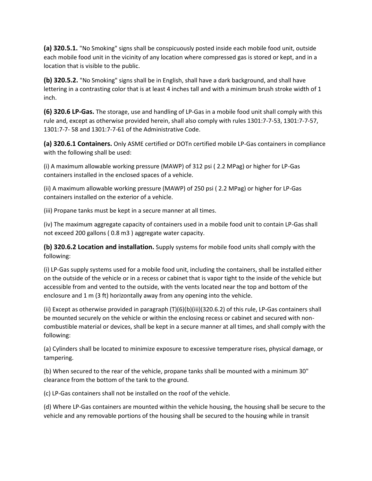**(a) 320.5.1.** "No Smoking" signs shall be conspicuously posted inside each mobile food unit, outside each mobile food unit in the vicinity of any location where compressed gas is stored or kept, and in a location that is visible to the public.

**(b) 320.5.2.** "No Smoking" signs shall be in English, shall have a dark background, and shall have lettering in a contrasting color that is at least 4 inches tall and with a minimum brush stroke width of 1 inch.

**(6) 320.6 LP-Gas.** The storage, use and handling of LP-Gas in a mobile food unit shall comply with this rule and, except as otherwise provided herein, shall also comply with rules 1301:7-7-53, 1301:7-7-57, 1301:7-7- 58 and 1301:7-7-61 of the Administrative Code.

**(a) 320.6.1 Containers.** Only ASME certified or DOTn certified mobile LP-Gas containers in compliance with the following shall be used:

(i) A maximum allowable working pressure (MAWP) of 312 psi ( 2.2 MPag) or higher for LP-Gas containers installed in the enclosed spaces of a vehicle.

(ii) A maximum allowable working pressure (MAWP) of 250 psi ( 2.2 MPag) or higher for LP-Gas containers installed on the exterior of a vehicle.

(iii) Propane tanks must be kept in a secure manner at all times.

(iv) The maximum aggregate capacity of containers used in a mobile food unit to contain LP-Gas shall not exceed 200 gallons ( 0.8 m3 ) aggregate water capacity.

**(b) 320.6.2 Location and installation.** Supply systems for mobile food units shall comply with the following:

(i) LP-Gas supply systems used for a mobile food unit, including the containers, shall be installed either on the outside of the vehicle or in a recess or cabinet that is vapor tight to the inside of the vehicle but accessible from and vented to the outside, with the vents located near the top and bottom of the enclosure and 1 m (3 ft) horizontally away from any opening into the vehicle.

(ii) Except as otherwise provided in paragraph (T)(6)(b)(iii)(320.6.2) of this rule, LP-Gas containers shall be mounted securely on the vehicle or within the enclosing recess or cabinet and secured with noncombustible material or devices, shall be kept in a secure manner at all times, and shall comply with the following:

(a) Cylinders shall be located to minimize exposure to excessive temperature rises, physical damage, or tampering.

(b) When secured to the rear of the vehicle, propane tanks shall be mounted with a minimum 30" clearance from the bottom of the tank to the ground.

(c) LP-Gas containers shall not be installed on the roof of the vehicle.

(d) Where LP-Gas containers are mounted within the vehicle housing, the housing shall be secure to the vehicle and any removable portions of the housing shall be secured to the housing while in transit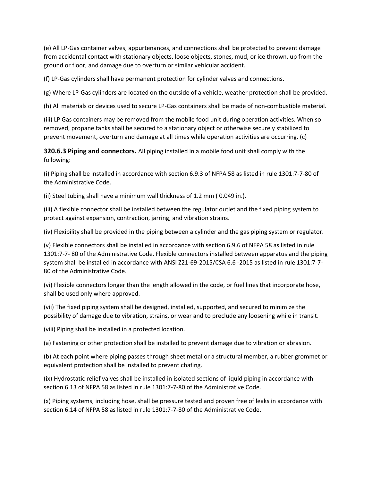(e) All LP-Gas container valves, appurtenances, and connections shall be protected to prevent damage from accidental contact with stationary objects, loose objects, stones, mud, or ice thrown, up from the ground or floor, and damage due to overturn or similar vehicular accident.

(f) LP-Gas cylinders shall have permanent protection for cylinder valves and connections.

(g) Where LP-Gas cylinders are located on the outside of a vehicle, weather protection shall be provided.

(h) All materials or devices used to secure LP-Gas containers shall be made of non-combustible material.

(iii) LP Gas containers may be removed from the mobile food unit during operation activities. When so removed, propane tanks shall be secured to a stationary object or otherwise securely stabilized to prevent movement, overturn and damage at all times while operation activities are occurring. (c)

**320.6.3 Piping and connectors.** All piping installed in a mobile food unit shall comply with the following:

(i) Piping shall be installed in accordance with section 6.9.3 of NFPA 58 as listed in rule 1301:7-7-80 of the Administrative Code.

(ii) Steel tubing shall have a minimum wall thickness of 1.2 mm ( 0.049 in.).

(iii) A flexible connector shall be installed between the regulator outlet and the fixed piping system to protect against expansion, contraction, jarring, and vibration strains.

(iv) Flexibility shall be provided in the piping between a cylinder and the gas piping system or regulator.

(v) Flexible connectors shall be installed in accordance with section 6.9.6 of NFPA 58 as listed in rule 1301:7-7- 80 of the Administrative Code. Flexible connectors installed between apparatus and the piping system shall be installed in accordance with ANSI Z21-69-2015/CSA 6.6 -2015 as listed in rule 1301:7-7- 80 of the Administrative Code.

(vi) Flexible connectors longer than the length allowed in the code, or fuel lines that incorporate hose, shall be used only where approved.

(vii) The fixed piping system shall be designed, installed, supported, and secured to minimize the possibility of damage due to vibration, strains, or wear and to preclude any loosening while in transit.

(viii) Piping shall be installed in a protected location.

(a) Fastening or other protection shall be installed to prevent damage due to vibration or abrasion.

(b) At each point where piping passes through sheet metal or a structural member, a rubber grommet or equivalent protection shall be installed to prevent chafing.

(ix) Hydrostatic relief valves shall be installed in isolated sections of liquid piping in accordance with section 6.13 of NFPA 58 as listed in rule 1301:7-7-80 of the Administrative Code.

(x) Piping systems, including hose, shall be pressure tested and proven free of leaks in accordance with section 6.14 of NFPA 58 as listed in rule 1301:7-7-80 of the Administrative Code.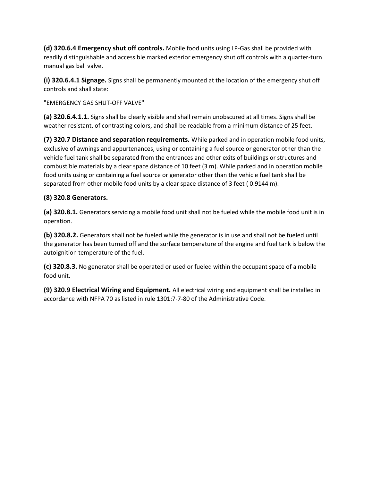**(d) 320.6.4 Emergency shut off controls.** Mobile food units using LP-Gas shall be provided with readily distinguishable and accessible marked exterior emergency shut off controls with a quarter-turn manual gas ball valve.

**(i) 320.6.4.1 Signage.** Signs shall be permanently mounted at the location of the emergency shut off controls and shall state:

"EMERGENCY GAS SHUT-OFF VALVE"

**(a) 320.6.4.1.1.** Signs shall be clearly visible and shall remain unobscured at all times. Signs shall be weather resistant, of contrasting colors, and shall be readable from a minimum distance of 25 feet.

**(7) 320.7 Distance and separation requirements.** While parked and in operation mobile food units, exclusive of awnings and appurtenances, using or containing a fuel source or generator other than the vehicle fuel tank shall be separated from the entrances and other exits of buildings or structures and combustible materials by a clear space distance of 10 feet (3 m). While parked and in operation mobile food units using or containing a fuel source or generator other than the vehicle fuel tank shall be separated from other mobile food units by a clear space distance of 3 feet ( 0.9144 m).

### **(8) 320.8 Generators.**

**(a) 320.8.1.** Generators servicing a mobile food unit shall not be fueled while the mobile food unit is in operation.

**(b) 320.8.2.** Generators shall not be fueled while the generator is in use and shall not be fueled until the generator has been turned off and the surface temperature of the engine and fuel tank is below the autoignition temperature of the fuel.

**(c) 320.8.3.** No generator shall be operated or used or fueled within the occupant space of a mobile food unit.

**(9) 320.9 Electrical Wiring and Equipment.** All electrical wiring and equipment shall be installed in accordance with NFPA 70 as listed in rule 1301:7-7-80 of the Administrative Code.